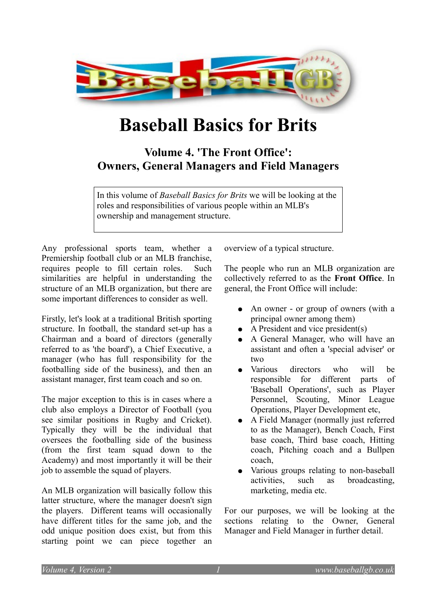

# **Baseball Basics for Brits**

# **Volume 4. 'The Front Office': Owners, General Managers and Field Managers**

In this volume of *Baseball Basics for Brits* we will be looking at the roles and responsibilities of various people within an MLB's ownership and management structure.

Any professional sports team, whether a Premiership football club or an MLB franchise, requires people to fill certain roles. Such similarities are helpful in understanding the structure of an MLB organization, but there are some important differences to consider as well.

Firstly, let's look at a traditional British sporting structure. In football, the standard set-up has a Chairman and a board of directors (generally referred to as 'the board'), a Chief Executive, a manager (who has full responsibility for the footballing side of the business), and then an assistant manager, first team coach and so on.

The major exception to this is in cases where a club also employs a Director of Football (you see similar positions in Rugby and Cricket). Typically they will be the individual that oversees the footballing side of the business (from the first team squad down to the Academy) and most importantly it will be their job to assemble the squad of players.

An MLB organization will basically follow this latter structure, where the manager doesn't sign the players. Different teams will occasionally have different titles for the same job, and the odd unique position does exist, but from this starting point we can piece together an

overview of a typical structure.

The people who run an MLB organization are collectively referred to as the **Front Office**. In general, the Front Office will include:

- An owner or group of owners (with a principal owner among them)
- $\bullet$  A President and vice president(s)
- A General Manager, who will have an assistant and often a 'special adviser' or two
- Various directors who will be responsible for different parts of 'Baseball Operations', such as Player Personnel, Scouting, Minor League Operations, Player Development etc,
- A Field Manager (normally just referred to as the Manager), Bench Coach, First base coach, Third base coach, Hitting coach, Pitching coach and a Bullpen coach,
- Various groups relating to non-baseball activities, such as broadcasting, marketing, media etc.

For our purposes, we will be looking at the sections relating to the Owner, General Manager and Field Manager in further detail.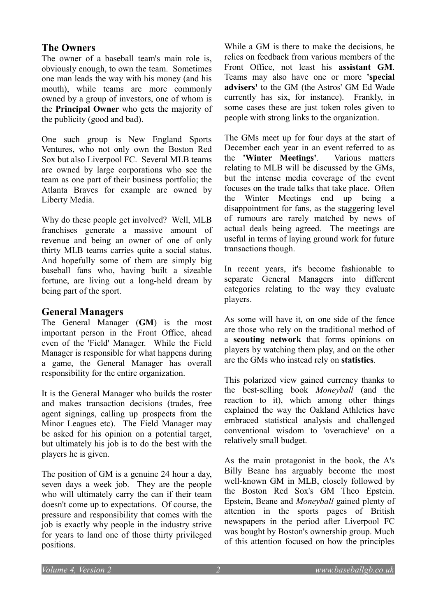# **The Owners**

The owner of a baseball team's main role is, obviously enough, to own the team. Sometimes one man leads the way with his money (and his mouth), while teams are more commonly owned by a group of investors, one of whom is the **Principal Owner** who gets the majority of the publicity (good and bad).

One such group is New England Sports Ventures, who not only own the Boston Red Sox but also Liverpool FC. Several MLB teams are owned by large corporations who see the team as one part of their business portfolio; the Atlanta Braves for example are owned by Liberty Media.

Why do these people get involved? Well, MLB franchises generate a massive amount of revenue and being an owner of one of only thirty MLB teams carries quite a social status. And hopefully some of them are simply big baseball fans who, having built a sizeable fortune, are living out a long-held dream by being part of the sport.

# **General Managers**

The General Manager (**GM**) is the most important person in the Front Office, ahead even of the 'Field' Manager. While the Field Manager is responsible for what happens during a game, the General Manager has overall responsibility for the entire organization.

It is the General Manager who builds the roster and makes transaction decisions (trades, free agent signings, calling up prospects from the Minor Leagues etc). The Field Manager may be asked for his opinion on a potential target, but ultimately his job is to do the best with the players he is given.

The position of GM is a genuine 24 hour a day, seven days a week job. They are the people who will ultimately carry the can if their team doesn't come up to expectations. Of course, the pressure and responsibility that comes with the job is exactly why people in the industry strive for years to land one of those thirty privileged positions.

While a GM is there to make the decisions, he relies on feedback from various members of the Front Office, not least his **assistant GM**. Teams may also have one or more **'special advisers'** to the GM (the Astros' GM Ed Wade currently has six, for instance). Frankly, in some cases these are just token roles given to people with strong links to the organization.

The GMs meet up for four days at the start of December each year in an event referred to as the **'Winter Meetings'**. Various matters relating to MLB will be discussed by the GMs, but the intense media coverage of the event focuses on the trade talks that take place. Often the Winter Meetings end up being a disappointment for fans, as the staggering level of rumours are rarely matched by news of actual deals being agreed. The meetings are useful in terms of laying ground work for future transactions though.

In recent years, it's become fashionable to separate General Managers into different categories relating to the way they evaluate players.

As some will have it, on one side of the fence are those who rely on the traditional method of a **scouting network** that forms opinions on players by watching them play, and on the other are the GMs who instead rely on **statistics**.

This polarized view gained currency thanks to the best-selling book *Moneyball* (and the reaction to it), which among other things explained the way the Oakland Athletics have embraced statistical analysis and challenged conventional wisdom to 'overachieve' on a relatively small budget.

As the main protagonist in the book, the A's Billy Beane has arguably become the most well-known GM in MLB, closely followed by the Boston Red Sox's GM Theo Epstein. Epstein, Beane and *Moneyball* gained plenty of attention in the sports pages of British newspapers in the period after Liverpool FC was bought by Boston's ownership group. Much of this attention focused on how the principles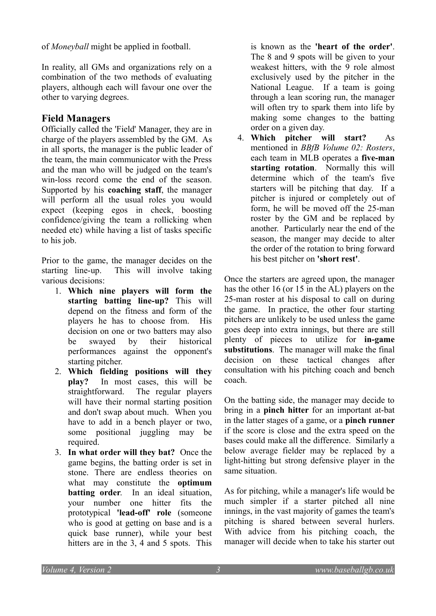of *Moneyball* might be applied in football.

In reality, all GMs and organizations rely on a combination of the two methods of evaluating players, although each will favour one over the other to varying degrees.

#### **Field Managers**

Officially called the 'Field' Manager, they are in charge of the players assembled by the GM. As in all sports, the manager is the public leader of the team, the main communicator with the Press and the man who will be judged on the team's win-loss record come the end of the season. Supported by his **coaching staff**, the manager will perform all the usual roles you would expect (keeping egos in check, boosting confidence/giving the team a rollicking when needed etc) while having a list of tasks specific to his job.

Prior to the game, the manager decides on the starting line-up. This will involve taking various decisions:

- 1. **Which nine players will form the starting batting line-up?** This will depend on the fitness and form of the players he has to choose from. His decision on one or two batters may also be swayed by their historical performances against the opponent's starting pitcher.
- 2. **Which fielding positions will they play?** In most cases, this will be straightforward. The regular players will have their normal starting position and don't swap about much. When you have to add in a bench player or two, some positional juggling may be required.
- 3. **In what order will they bat?** Once the game begins, the batting order is set in stone. There are endless theories on what may constitute the **optimum batting order**. In an ideal situation, your number one hitter fits the prototypical **'lead-off' role** (someone who is good at getting on base and is a quick base runner), while your best hitters are in the 3, 4 and 5 spots. This

is known as the **'heart of the order'**. The 8 and 9 spots will be given to your weakest hitters, with the 9 role almost exclusively used by the pitcher in the National League. If a team is going through a lean scoring run, the manager will often try to spark them into life by making some changes to the batting order on a given day.

4. **Which pitcher will start?** As mentioned in *BBfB Volume 02: Rosters*, each team in MLB operates a **five-man starting rotation**. Normally this will determine which of the team's five starters will be pitching that day. If a pitcher is injured or completely out of form, he will be moved off the 25-man roster by the GM and be replaced by another. Particularly near the end of the season, the manger may decide to alter the order of the rotation to bring forward his best pitcher on **'short rest'**.

Once the starters are agreed upon, the manager has the other 16 (or 15 in the AL) players on the 25-man roster at his disposal to call on during the game. In practice, the other four starting pitchers are unlikely to be used unless the game goes deep into extra innings, but there are still plenty of pieces to utilize for **in-game substitutions**. The manager will make the final decision on these tactical changes after consultation with his pitching coach and bench coach.

On the batting side, the manager may decide to bring in a **pinch hitter** for an important at-bat in the latter stages of a game, or a **pinch runner** if the score is close and the extra speed on the bases could make all the difference. Similarly a below average fielder may be replaced by a light-hitting but strong defensive player in the same situation.

As for pitching, while a manager's life would be much simpler if a starter pitched all nine innings, in the vast majority of games the team's pitching is shared between several hurlers. With advice from his pitching coach, the manager will decide when to take his starter out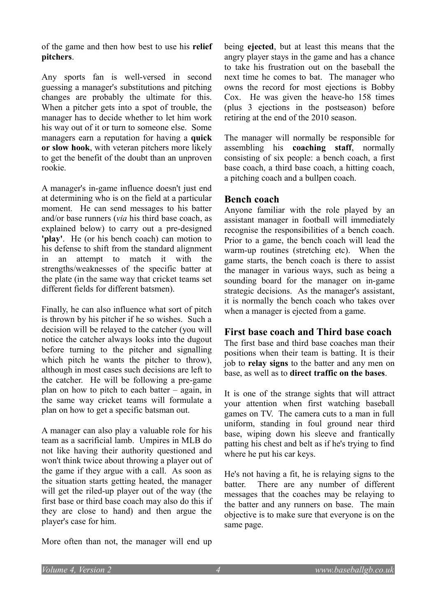of the game and then how best to use his **relief pitchers**.

Any sports fan is well-versed in second guessing a manager's substitutions and pitching changes are probably the ultimate for this. When a pitcher gets into a spot of trouble, the manager has to decide whether to let him work his way out of it or turn to someone else. Some managers earn a reputation for having a **quick or slow hook**, with veteran pitchers more likely to get the benefit of the doubt than an unproven rookie.

A manager's in-game influence doesn't just end at determining who is on the field at a particular moment. He can send messages to his batter and/or base runners (*via* his third base coach, as explained below) to carry out a pre-designed **'play'**. He (or his bench coach) can motion to his defense to shift from the standard alignment in an attempt to match it with the strengths/weaknesses of the specific batter at the plate (in the same way that cricket teams set different fields for different batsmen).

Finally, he can also influence what sort of pitch is thrown by his pitcher if he so wishes. Such a decision will be relayed to the catcher (you will notice the catcher always looks into the dugout before turning to the pitcher and signalling which pitch he wants the pitcher to throw), although in most cases such decisions are left to the catcher. He will be following a pre-game plan on how to pitch to each batter – again, in the same way cricket teams will formulate a plan on how to get a specific batsman out.

A manager can also play a valuable role for his team as a sacrificial lamb. Umpires in MLB do not like having their authority questioned and won't think twice about throwing a player out of the game if they argue with a call. As soon as the situation starts getting heated, the manager will get the riled-up player out of the way (the first base or third base coach may also do this if they are close to hand) and then argue the player's case for him.

More often than not, the manager will end up

being **ejected**, but at least this means that the angry player stays in the game and has a chance to take his frustration out on the baseball the next time he comes to bat. The manager who owns the record for most ejections is Bobby Cox. He was given the heave-ho 158 times (plus 3 ejections in the postseason) before retiring at the end of the 2010 season.

The manager will normally be responsible for assembling his **coaching staff**, normally consisting of six people: a bench coach, a first base coach, a third base coach, a hitting coach, a pitching coach and a bullpen coach.

#### **Bench coach**

Anyone familiar with the role played by an assistant manager in football will immediately recognise the responsibilities of a bench coach. Prior to a game, the bench coach will lead the warm-up routines (stretching etc). When the game starts, the bench coach is there to assist the manager in various ways, such as being a sounding board for the manager on in-game strategic decisions. As the manager's assistant, it is normally the bench coach who takes over when a manager is ejected from a game.

#### **First base coach and Third base coach**

The first base and third base coaches man their positions when their team is batting. It is their job to **relay signs** to the batter and any men on base, as well as to **direct traffic on the bases**.

It is one of the strange sights that will attract your attention when first watching baseball games on TV. The camera cuts to a man in full uniform, standing in foul ground near third base, wiping down his sleeve and frantically patting his chest and belt as if he's trying to find where he put his car keys.

He's not having a fit, he is relaying signs to the batter. There are any number of different messages that the coaches may be relaying to the batter and any runners on base. The main objective is to make sure that everyone is on the same page.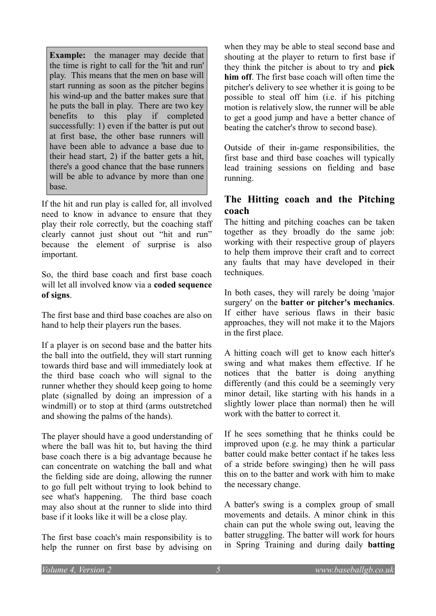**Example:** the manager may decide that the time is right to call for the 'hit and run' play. This means that the men on base will start running as soon as the pitcher begins his wind-up and the batter makes sure that he puts the ball in play. There are two key benefits to this play if completed successfully: 1) even if the batter is put out at first base, the other base runners will have been able to advance a base due to their head start, 2) if the batter gets a hit, there's a good chance that the base runners will be able to advance by more than one base.

If the hit and run play is called for, all involved need to know in advance to ensure that they play their role correctly, but the coaching staff clearly cannot just shout out "hit and run" because the element of surprise is also important.

So, the third base coach and first base coach will let all involved know via a **coded sequence of signs**.

The first base and third base coaches are also on hand to help their players run the bases.

If a player is on second base and the batter hits the ball into the outfield, they will start running towards third base and will immediately look at the third base coach who will signal to the runner whether they should keep going to home plate (signalled by doing an impression of a windmill) or to stop at third (arms outstretched and showing the palms of the hands).

The player should have a good understanding of where the ball was hit to, but having the third base coach there is a big advantage because he can concentrate on watching the ball and what the fielding side are doing, allowing the runner to go full pelt without trying to look behind to see what's happening. The third base coach may also shout at the runner to slide into third base if it looks like it will be a close play.

The first base coach's main responsibility is to help the runner on first base by advising on when they may be able to steal second base and shouting at the player to return to first base if they think the pitcher is about to try and **pick him off**. The first base coach will often time the pitcher's delivery to see whether it is going to be possible to steal off him (i.e. if his pitching motion is relatively slow, the runner will be able to get a good jump and have a better chance of beating the catcher's throw to second base).

Outside of their in-game responsibilities, the first base and third base coaches will typically lead training sessions on fielding and base running.

# **The Hitting coach and the Pitching coach**

The hitting and pitching coaches can be taken together as they broadly do the same job: working with their respective group of players to help them improve their craft and to correct any faults that may have developed in their techniques.

In both cases, they will rarely be doing 'major surgery' on the **batter or pitcher's mechanics**. If either have serious flaws in their basic approaches, they will not make it to the Majors in the first place.

A hitting coach will get to know each hitter's swing and what makes them effective. If he notices that the batter is doing anything differently (and this could be a seemingly very minor detail, like starting with his hands in a slightly lower place than normal) then he will work with the batter to correct it.

If he sees something that he thinks could be improved upon (e.g. he may think a particular batter could make better contact if he takes less of a stride before swinging) then he will pass this on to the batter and work with him to make the necessary change.

A batter's swing is a complex group of small movements and details. A minor chink in this chain can put the whole swing out, leaving the batter struggling. The batter will work for hours in Spring Training and during daily **batting**